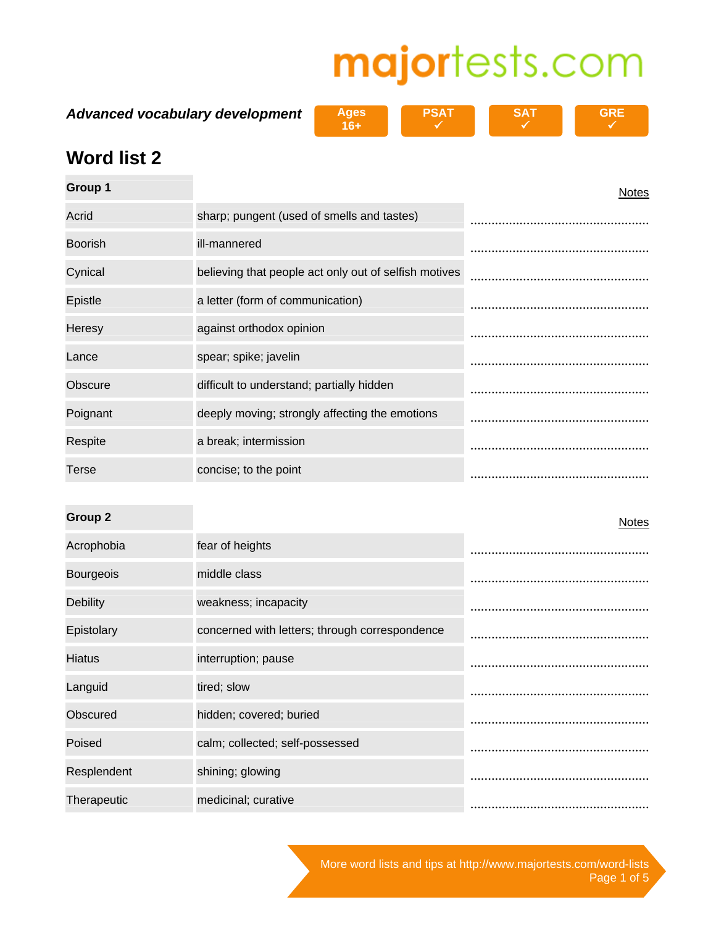**Advanced vocabulary development** 

| <b>Ages</b> | <b>PSAT</b> |
|-------------|-------------|
| 16+         |             |



 $\checkmark$ 

**GRE**   $\checkmark$ 

### **Word list 2**

| Group 1        |                                                       | <b>Notes</b> |
|----------------|-------------------------------------------------------|--------------|
| Acrid          | sharp; pungent (used of smells and tastes)            |              |
| <b>Boorish</b> | ill-mannered                                          |              |
| Cynical        | believing that people act only out of selfish motives |              |
| Epistle        | a letter (form of communication)                      |              |
| Heresy         | against orthodox opinion                              |              |
| Lance          | spear; spike; javelin                                 |              |
| Obscure        | difficult to understand; partially hidden             |              |
| Poignant       | deeply moving; strongly affecting the emotions        |              |
| Respite        | a break; intermission                                 |              |
| <b>Terse</b>   | concise; to the point                                 |              |

**Group 2** Notes Acrophobia fear of heights ................................................... Bourgeois middle class ................................................... Debility **Debility weakness**; incapacity Epistolary concerned with letters; through correspondence ................................................... Hiatus interruption; pause ................................................... Languid tired; slow ................................................... Obscured hidden; covered; buried ................................................... Poised calm; collected; self-possessed ................................................... Resplendent shining; glowing ................................................... Therapeutic medicinal; curative ...................................................

> More word lists and tips at http://www.majortests.com/word-lists Page 1 of 5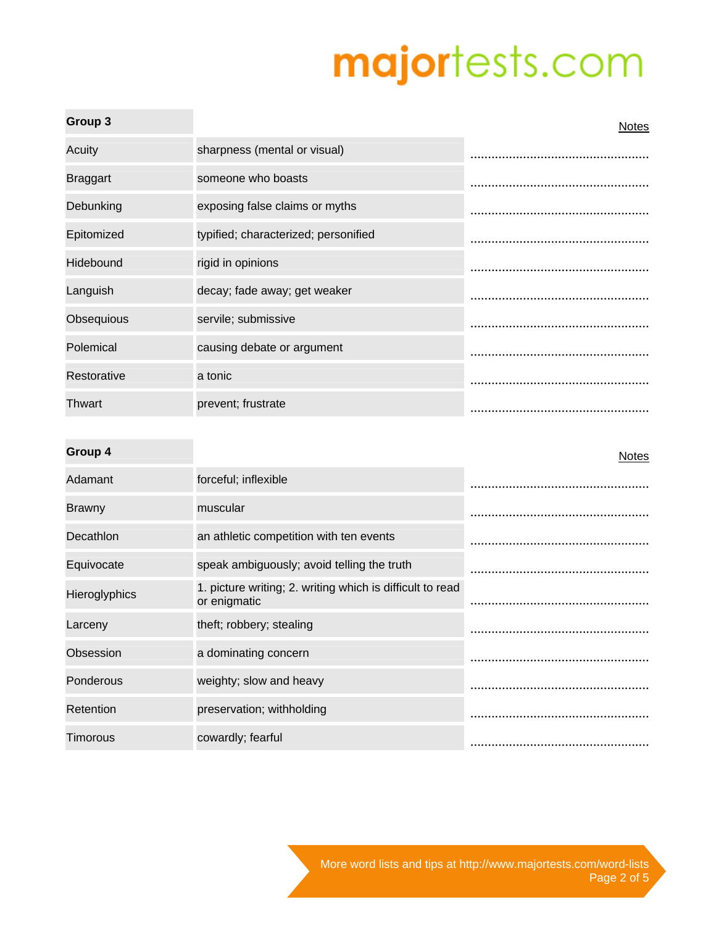| Group 3         |                                      | <b>Notes</b> |
|-----------------|--------------------------------------|--------------|
| Acuity          | sharpness (mental or visual)         |              |
| <b>Braggart</b> | someone who boasts                   |              |
| Debunking       | exposing false claims or myths       |              |
| Epitomized      | typified; characterized; personified |              |
| Hidebound       | rigid in opinions                    |              |
| Languish        | decay; fade away; get weaker         |              |
| Obsequious      | servile; submissive                  |              |
| Polemical       | causing debate or argument           |              |
| Restorative     | a tonic                              |              |
| Thwart          | prevent; frustrate                   |              |

### **Group 4** Notes

| Adamant       | forceful; inflexible                                                      |  |
|---------------|---------------------------------------------------------------------------|--|
| <b>Brawny</b> | muscular                                                                  |  |
| Decathlon     | an athletic competition with ten events                                   |  |
| Equivocate    | speak ambiguously; avoid telling the truth                                |  |
| Hieroglyphics | 1. picture writing; 2. writing which is difficult to read<br>or enigmatic |  |
| Larceny       | theft; robbery; stealing                                                  |  |
| Obsession     | a dominating concern                                                      |  |
| Ponderous     | weighty; slow and heavy                                                   |  |
| Retention     | preservation; withholding                                                 |  |
| Timorous      | cowardly; fearful                                                         |  |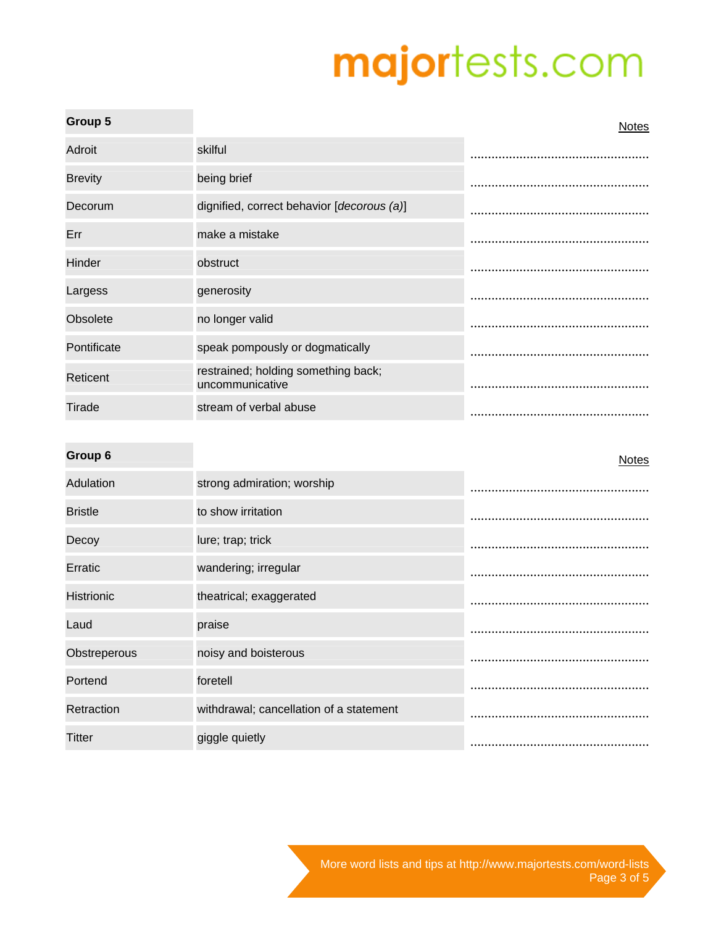| Group 5        |                                                        | <b>Notes</b> |
|----------------|--------------------------------------------------------|--------------|
| Adroit         | skilful                                                |              |
| <b>Brevity</b> | being brief                                            |              |
| Decorum        | dignified, correct behavior [decorous (a)]             |              |
| Err            | make a mistake                                         |              |
| Hinder         | obstruct                                               |              |
| Largess        | generosity                                             |              |
| Obsolete       | no longer valid                                        |              |
| Pontificate    | speak pompously or dogmatically                        |              |
| Reticent       | restrained; holding something back;<br>uncommunicative |              |
| Tirade         | stream of verbal abuse                                 |              |
|                |                                                        |              |

| Group 6           |                                         | <b>Notes</b> |
|-------------------|-----------------------------------------|--------------|
| Adulation         | strong admiration; worship              |              |
| <b>Bristle</b>    | to show irritation                      |              |
| Decoy             | lure; trap; trick                       |              |
| Erratic           | wandering; irregular                    |              |
| <b>Histrionic</b> | theatrical; exaggerated                 |              |
| Laud              | praise                                  |              |
| Obstreperous      | noisy and boisterous                    |              |
| Portend           | foretell                                |              |
| Retraction        | withdrawal; cancellation of a statement |              |
| Titter            | giggle quietly                          |              |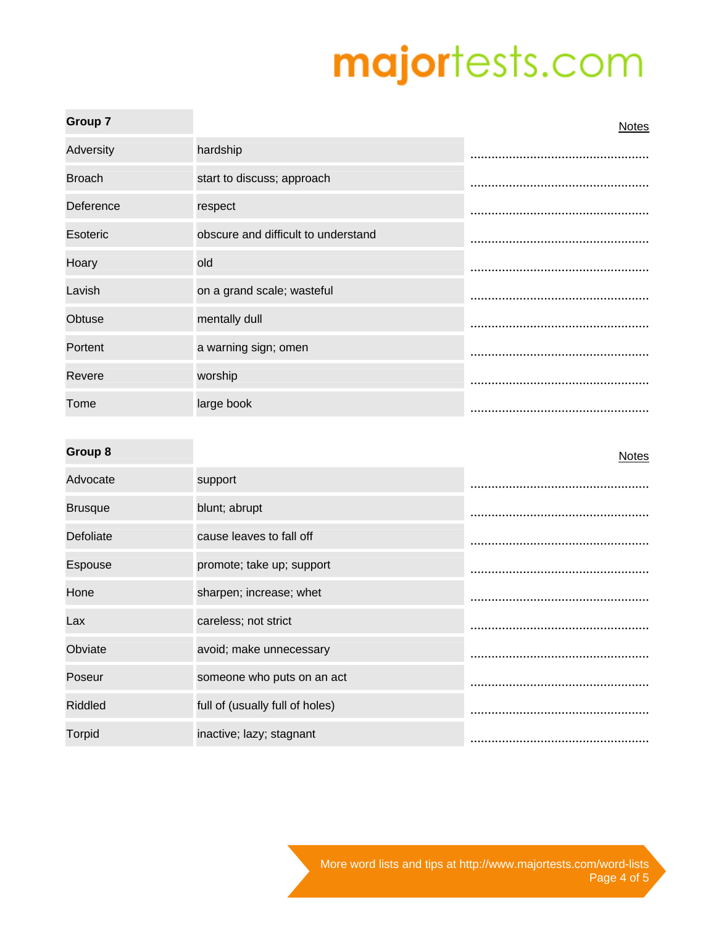| <b>Group 7</b> |                                     | <b>Notes</b> |
|----------------|-------------------------------------|--------------|
| Adversity      | hardship                            |              |
| <b>Broach</b>  | start to discuss; approach          |              |
| Deference      | respect                             |              |
| Esoteric       | obscure and difficult to understand |              |
| Hoary          | old                                 |              |
| Lavish         | on a grand scale; wasteful          |              |
| Obtuse         | mentally dull                       |              |
| Portent        | a warning sign; omen                |              |
| Revere         | worship                             |              |
| Tome           | large book                          |              |

### **Group 8** Notes

| Advocate       | support                         |  |
|----------------|---------------------------------|--|
| <b>Brusque</b> | blunt; abrupt                   |  |
| Defoliate      | cause leaves to fall off        |  |
| Espouse        | promote; take up; support       |  |
| Hone           | sharpen; increase; whet         |  |
| Lax            | careless; not strict            |  |
| Obviate        | avoid; make unnecessary         |  |
| Poseur         | someone who puts on an act      |  |
| <b>Riddled</b> | full of (usually full of holes) |  |
| <b>Torpid</b>  | inactive; lazy; stagnant        |  |